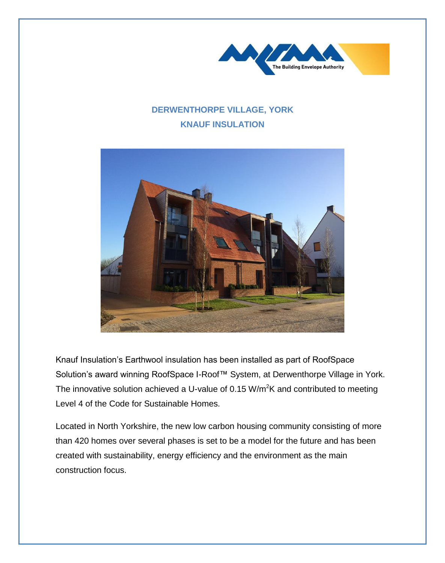

## **DERWENTHORPE VILLAGE, YORK KNAUF INSULATION**



Knauf Insulation's Earthwool insulation has been installed as part of RoofSpace Solution's award winning RoofSpace I-Roof™ System, at Derwenthorpe Village in York. The innovative solution achieved a U-value of 0.15 W/m<sup>2</sup>K and contributed to meeting Level 4 of the Code for Sustainable Homes.

Located in North Yorkshire, the new low carbon housing community consisting of more than 420 homes over several phases is set to be a model for the future and has been created with sustainability, energy efficiency and the environment as the main construction focus.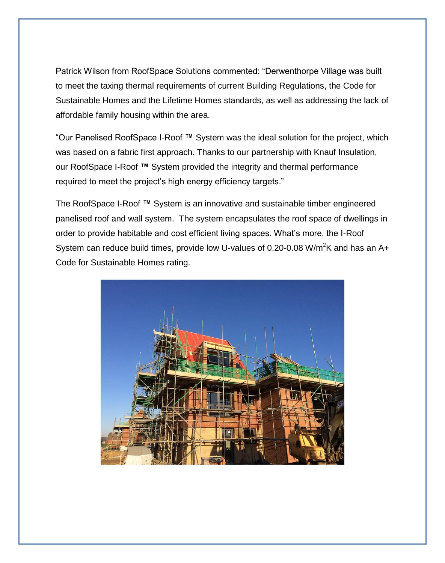Patrick Wilson from RoofSpace Solutions commented: "Derwenthorpe Village was built to meet the taxing thermal requirements of current Building Regulations, the Code for Sustainable Homes and the Lifetime Homes standards, as well as addressing the lack of affordable family housing within the area.

"Our Panelised RoofSpace I-Roof **™** System was the ideal solution for the project, which was based on a fabric first approach. Thanks to our partnership with Knauf Insulation, our RoofSpace I-Roof **™** System provided the integrity and thermal performance required to meet the project's high energy efficiency targets."

The RoofSpace I-Roof **™** System is an innovative and sustainable timber engineered panelised roof and wall system. The system encapsulates the roof space of dwellings in order to provide habitable and cost efficient living spaces. What's more, the I-Roof System can reduce build times, provide low U-values of 0.20-0.08 W/m<sup>2</sup>K and has an A+ Code for Sustainable Homes rating.